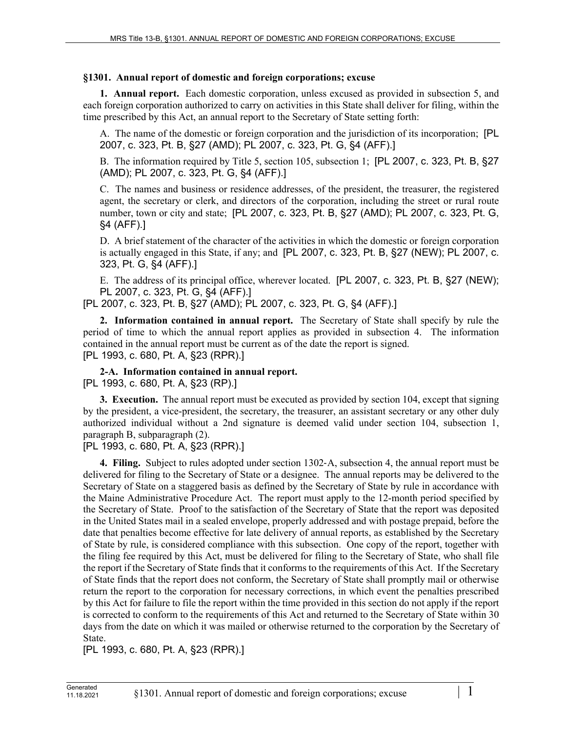## **§1301. Annual report of domestic and foreign corporations; excuse**

**1. Annual report.** Each domestic corporation, unless excused as provided in subsection 5, and each foreign corporation authorized to carry on activities in this State shall deliver for filing, within the time prescribed by this Act, an annual report to the Secretary of State setting forth:

A. The name of the domestic or foreign corporation and the jurisdiction of its incorporation; [PL 2007, c. 323, Pt. B, §27 (AMD); PL 2007, c. 323, Pt. G, §4 (AFF).]

B. The information required by Title 5, section 105, subsection 1; [PL 2007, c. 323, Pt. B, §27 (AMD); PL 2007, c. 323, Pt. G, §4 (AFF).]

C. The names and business or residence addresses, of the president, the treasurer, the registered agent, the secretary or clerk, and directors of the corporation, including the street or rural route number, town or city and state; [PL 2007, c. 323, Pt. B, §27 (AMD); PL 2007, c. 323, Pt. G, §4 (AFF).]

D. A brief statement of the character of the activities in which the domestic or foreign corporation is actually engaged in this State, if any; and [PL 2007, c. 323, Pt. B, §27 (NEW); PL 2007, c. 323, Pt. G, §4 (AFF).]

E. The address of its principal office, wherever located. [PL 2007, c. 323, Pt. B, §27 (NEW); PL 2007, c. 323, Pt. G, §4 (AFF).]

[PL 2007, c. 323, Pt. B, §27 (AMD); PL 2007, c. 323, Pt. G, §4 (AFF).]

**2. Information contained in annual report.** The Secretary of State shall specify by rule the period of time to which the annual report applies as provided in subsection 4. The information contained in the annual report must be current as of the date the report is signed. [PL 1993, c. 680, Pt. A, §23 (RPR).]

**2-A. Information contained in annual report.**  [PL 1993, c. 680, Pt. A, §23 (RP).]

**3. Execution.** The annual report must be executed as provided by section 104, except that signing by the president, a vice-president, the secretary, the treasurer, an assistant secretary or any other duly authorized individual without a 2nd signature is deemed valid under section 104, subsection 1, paragraph B, subparagraph (2).

[PL 1993, c. 680, Pt. A, §23 (RPR).]

**4. Filing.** Subject to rules adopted under section 1302‑A, subsection 4, the annual report must be delivered for filing to the Secretary of State or a designee. The annual reports may be delivered to the Secretary of State on a staggered basis as defined by the Secretary of State by rule in accordance with the Maine Administrative Procedure Act. The report must apply to the 12-month period specified by the Secretary of State. Proof to the satisfaction of the Secretary of State that the report was deposited in the United States mail in a sealed envelope, properly addressed and with postage prepaid, before the date that penalties become effective for late delivery of annual reports, as established by the Secretary of State by rule, is considered compliance with this subsection. One copy of the report, together with the filing fee required by this Act, must be delivered for filing to the Secretary of State, who shall file the report if the Secretary of State finds that it conforms to the requirements of this Act. If the Secretary of State finds that the report does not conform, the Secretary of State shall promptly mail or otherwise return the report to the corporation for necessary corrections, in which event the penalties prescribed by this Act for failure to file the report within the time provided in this section do not apply if the report is corrected to conform to the requirements of this Act and returned to the Secretary of State within 30 days from the date on which it was mailed or otherwise returned to the corporation by the Secretary of State.

[PL 1993, c. 680, Pt. A, §23 (RPR).]